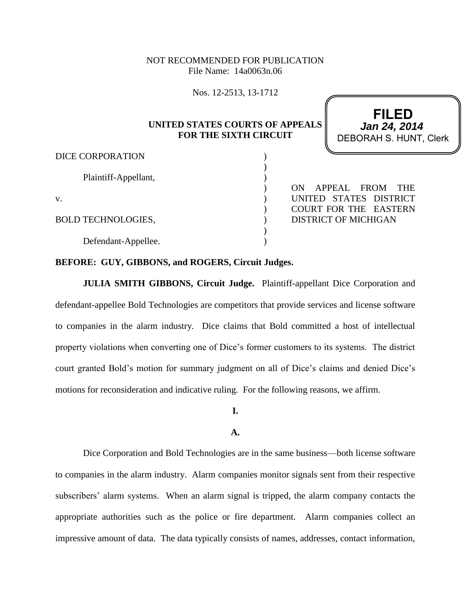## NOT RECOMMENDED FOR PUBLICATION File Name: 14a0063n.06

Nos. 12-2513, 13-1712

## **UNITED STATES COURTS OF APPEALS FOR THE SIXTH CIRCUIT**

) ) ) ) ) ) ) ) )

**FILED** DEBORAH S. HUNT, Clerk **Jan 24, 2014**

### DICE CORPORATION

Plaintiff-Appellant,

v.

## BOLD TECHNOLOGIES,

Defendant-Appellee.

ON APPEAL FROM THE UNITED STATES DISTRICT COURT FOR THE EASTERN DISTRICT OF MICHIGAN

## **BEFORE: GUY, GIBBONS, and ROGERS, Circuit Judges.**

**JULIA SMITH GIBBONS, Circuit Judge.** Plaintiff-appellant Dice Corporation and defendant-appellee Bold Technologies are competitors that provide services and license software to companies in the alarm industry. Dice claims that Bold committed a host of intellectual property violations when converting one of Dice's former customers to its systems. The district court granted Bold's motion for summary judgment on all of Dice's claims and denied Dice's motions for reconsideration and indicative ruling. For the following reasons, we affirm.

**I.**

## **A.**

Dice Corporation and Bold Technologies are in the same business—both license software to companies in the alarm industry. Alarm companies monitor signals sent from their respective subscribers' alarm systems. When an alarm signal is tripped, the alarm company contacts the appropriate authorities such as the police or fire department. Alarm companies collect an impressive amount of data. The data typically consists of names, addresses, contact information,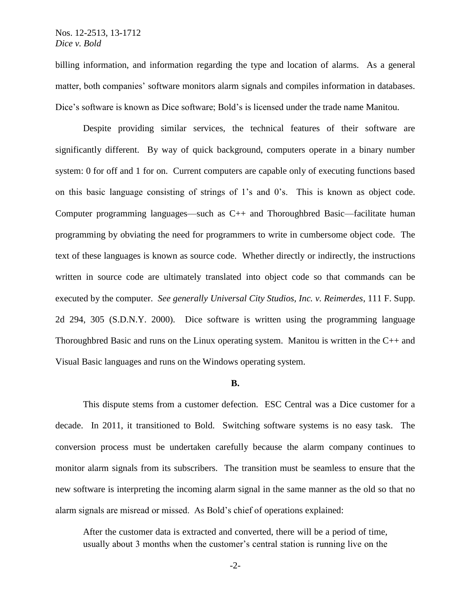billing information, and information regarding the type and location of alarms. As a general matter, both companies' software monitors alarm signals and compiles information in databases. Dice's software is known as Dice software; Bold's is licensed under the trade name Manitou.

Despite providing similar services, the technical features of their software are significantly different. By way of quick background, computers operate in a binary number system: 0 for off and 1 for on. Current computers are capable only of executing functions based on this basic language consisting of strings of 1's and 0's. This is known as object code. Computer programming languages—such as C++ and Thoroughbred Basic—facilitate human programming by obviating the need for programmers to write in cumbersome object code. The text of these languages is known as source code. Whether directly or indirectly, the instructions written in source code are ultimately translated into object code so that commands can be executed by the computer. *See generally Universal City Studios, Inc. v. Reimerdes*, 111 F. Supp. 2d 294, 305 (S.D.N.Y. 2000). Dice software is written using the programming language Thoroughbred Basic and runs on the Linux operating system. Manitou is written in the  $C_{++}$  and Visual Basic languages and runs on the Windows operating system.

#### **B.**

This dispute stems from a customer defection. ESC Central was a Dice customer for a decade. In 2011, it transitioned to Bold. Switching software systems is no easy task. The conversion process must be undertaken carefully because the alarm company continues to monitor alarm signals from its subscribers. The transition must be seamless to ensure that the new software is interpreting the incoming alarm signal in the same manner as the old so that no alarm signals are misread or missed. As Bold's chief of operations explained:

After the customer data is extracted and converted, there will be a period of time, usually about 3 months when the customer's central station is running live on the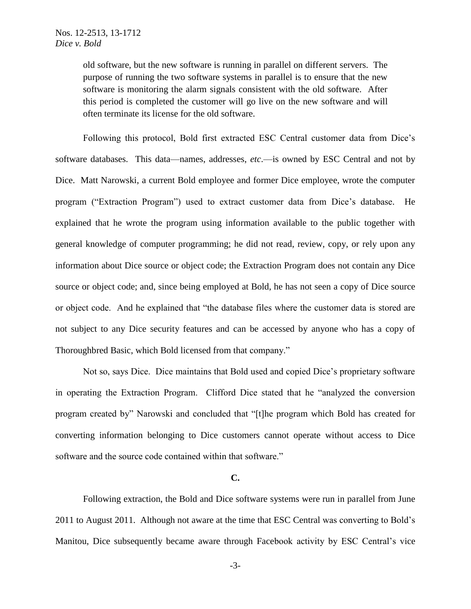old software, but the new software is running in parallel on different servers. The purpose of running the two software systems in parallel is to ensure that the new software is monitoring the alarm signals consistent with the old software. After this period is completed the customer will go live on the new software and will often terminate its license for the old software.

Following this protocol, Bold first extracted ESC Central customer data from Dice's software databases. This data—names, addresses, *etc*.—is owned by ESC Central and not by Dice. Matt Narowski, a current Bold employee and former Dice employee, wrote the computer program ("Extraction Program") used to extract customer data from Dice's database. He explained that he wrote the program using information available to the public together with general knowledge of computer programming; he did not read, review, copy, or rely upon any information about Dice source or object code; the Extraction Program does not contain any Dice source or object code; and, since being employed at Bold, he has not seen a copy of Dice source or object code. And he explained that "the database files where the customer data is stored are not subject to any Dice security features and can be accessed by anyone who has a copy of Thoroughbred Basic, which Bold licensed from that company."

Not so, says Dice. Dice maintains that Bold used and copied Dice's proprietary software in operating the Extraction Program. Clifford Dice stated that he "analyzed the conversion program created by" Narowski and concluded that "[t]he program which Bold has created for converting information belonging to Dice customers cannot operate without access to Dice software and the source code contained within that software."

#### **C.**

Following extraction, the Bold and Dice software systems were run in parallel from June 2011 to August 2011. Although not aware at the time that ESC Central was converting to Bold's Manitou, Dice subsequently became aware through Facebook activity by ESC Central's vice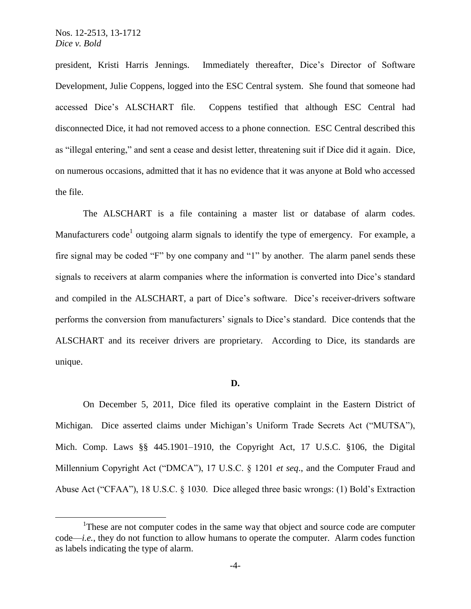president, Kristi Harris Jennings. Immediately thereafter, Dice's Director of Software Development, Julie Coppens, logged into the ESC Central system. She found that someone had accessed Dice's ALSCHART file. Coppens testified that although ESC Central had disconnected Dice, it had not removed access to a phone connection. ESC Central described this as "illegal entering," and sent a cease and desist letter, threatening suit if Dice did it again. Dice, on numerous occasions, admitted that it has no evidence that it was anyone at Bold who accessed the file.

The ALSCHART is a file containing a master list or database of alarm codes. Manufacturers code<sup>1</sup> outgoing alarm signals to identify the type of emergency. For example, a fire signal may be coded "F" by one company and "1" by another. The alarm panel sends these signals to receivers at alarm companies where the information is converted into Dice's standard and compiled in the ALSCHART, a part of Dice's software. Dice's receiver-drivers software performs the conversion from manufacturers' signals to Dice's standard. Dice contends that the ALSCHART and its receiver drivers are proprietary. According to Dice, its standards are unique.

#### **D.**

On December 5, 2011, Dice filed its operative complaint in the Eastern District of Michigan. Dice asserted claims under Michigan's Uniform Trade Secrets Act ("MUTSA"), Mich. Comp. Laws §§ 445.1901–1910, the Copyright Act, 17 U.S.C. §106, the Digital Millennium Copyright Act ("DMCA"), 17 U.S.C. § 1201 *et seq*., and the Computer Fraud and Abuse Act ("CFAA"), 18 U.S.C. § 1030. Dice alleged three basic wrongs: (1) Bold's Extraction

<sup>&</sup>lt;sup>1</sup>These are not computer codes in the same way that object and source code are computer code—*i.e.*, they do not function to allow humans to operate the computer. Alarm codes function as labels indicating the type of alarm.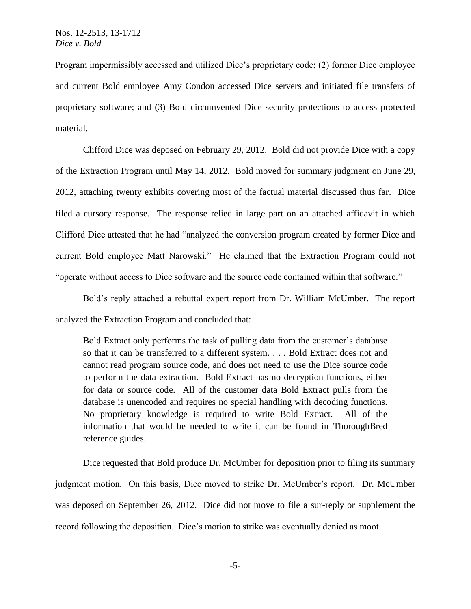Program impermissibly accessed and utilized Dice's proprietary code; (2) former Dice employee and current Bold employee Amy Condon accessed Dice servers and initiated file transfers of proprietary software; and (3) Bold circumvented Dice security protections to access protected material.

Clifford Dice was deposed on February 29, 2012. Bold did not provide Dice with a copy of the Extraction Program until May 14, 2012. Bold moved for summary judgment on June 29, 2012, attaching twenty exhibits covering most of the factual material discussed thus far. Dice filed a cursory response. The response relied in large part on an attached affidavit in which Clifford Dice attested that he had "analyzed the conversion program created by former Dice and current Bold employee Matt Narowski." He claimed that the Extraction Program could not "operate without access to Dice software and the source code contained within that software."

Bold's reply attached a rebuttal expert report from Dr. William McUmber. The report analyzed the Extraction Program and concluded that:

Bold Extract only performs the task of pulling data from the customer's database so that it can be transferred to a different system. . . . Bold Extract does not and cannot read program source code, and does not need to use the Dice source code to perform the data extraction. Bold Extract has no decryption functions, either for data or source code. All of the customer data Bold Extract pulls from the database is unencoded and requires no special handling with decoding functions. No proprietary knowledge is required to write Bold Extract. All of the information that would be needed to write it can be found in ThoroughBred reference guides.

Dice requested that Bold produce Dr. McUmber for deposition prior to filing its summary judgment motion. On this basis, Dice moved to strike Dr. McUmber's report. Dr. McUmber was deposed on September 26, 2012. Dice did not move to file a sur-reply or supplement the record following the deposition. Dice's motion to strike was eventually denied as moot.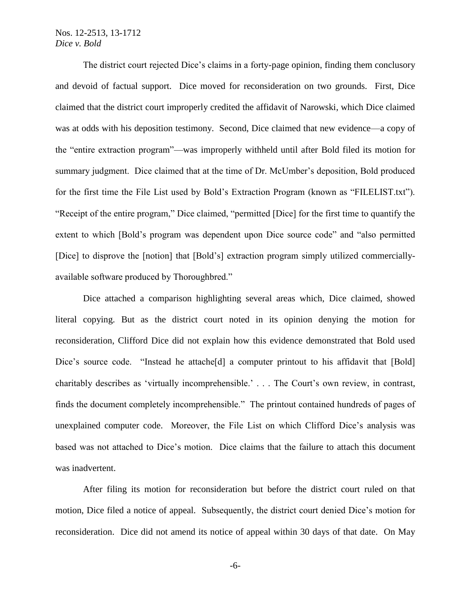The district court rejected Dice's claims in a forty-page opinion, finding them conclusory and devoid of factual support. Dice moved for reconsideration on two grounds. First, Dice claimed that the district court improperly credited the affidavit of Narowski, which Dice claimed was at odds with his deposition testimony. Second, Dice claimed that new evidence—a copy of the "entire extraction program"—was improperly withheld until after Bold filed its motion for summary judgment. Dice claimed that at the time of Dr. McUmber's deposition, Bold produced for the first time the File List used by Bold's Extraction Program (known as "FILELIST.txt"). "Receipt of the entire program," Dice claimed, "permitted [Dice] for the first time to quantify the extent to which [Bold's program was dependent upon Dice source code" and "also permitted [Dice] to disprove the [notion] that [Bold's] extraction program simply utilized commerciallyavailable software produced by Thoroughbred."

Dice attached a comparison highlighting several areas which, Dice claimed, showed literal copying. But as the district court noted in its opinion denying the motion for reconsideration, Clifford Dice did not explain how this evidence demonstrated that Bold used Dice's source code. "Instead he attache<sup>[d]</sup> a computer printout to his affidavit that [Bold] charitably describes as 'virtually incomprehensible.' . . . The Court's own review, in contrast, finds the document completely incomprehensible." The printout contained hundreds of pages of unexplained computer code. Moreover, the File List on which Clifford Dice's analysis was based was not attached to Dice's motion. Dice claims that the failure to attach this document was inadvertent.

After filing its motion for reconsideration but before the district court ruled on that motion, Dice filed a notice of appeal. Subsequently, the district court denied Dice's motion for reconsideration. Dice did not amend its notice of appeal within 30 days of that date. On May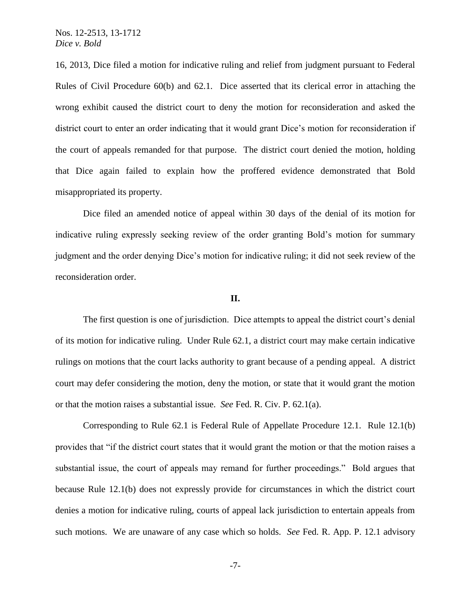16, 2013, Dice filed a motion for indicative ruling and relief from judgment pursuant to Federal Rules of Civil Procedure 60(b) and 62.1. Dice asserted that its clerical error in attaching the wrong exhibit caused the district court to deny the motion for reconsideration and asked the district court to enter an order indicating that it would grant Dice's motion for reconsideration if the court of appeals remanded for that purpose. The district court denied the motion, holding that Dice again failed to explain how the proffered evidence demonstrated that Bold misappropriated its property.

Dice filed an amended notice of appeal within 30 days of the denial of its motion for indicative ruling expressly seeking review of the order granting Bold's motion for summary judgment and the order denying Dice's motion for indicative ruling; it did not seek review of the reconsideration order.

## **II.**

The first question is one of jurisdiction. Dice attempts to appeal the district court's denial of its motion for indicative ruling. Under Rule 62.1, a district court may make certain indicative rulings on motions that the court lacks authority to grant because of a pending appeal. A district court may defer considering the motion, deny the motion, or state that it would grant the motion or that the motion raises a substantial issue. *See* Fed. R. Civ. P. 62.1(a).

Corresponding to Rule 62.1 is Federal Rule of Appellate Procedure 12.1. Rule 12.1(b) provides that "if the district court states that it would grant the motion or that the motion raises a substantial issue, the court of appeals may remand for further proceedings." Bold argues that because Rule 12.1(b) does not expressly provide for circumstances in which the district court denies a motion for indicative ruling, courts of appeal lack jurisdiction to entertain appeals from such motions. We are unaware of any case which so holds. *See* Fed. R. App. P. 12.1 advisory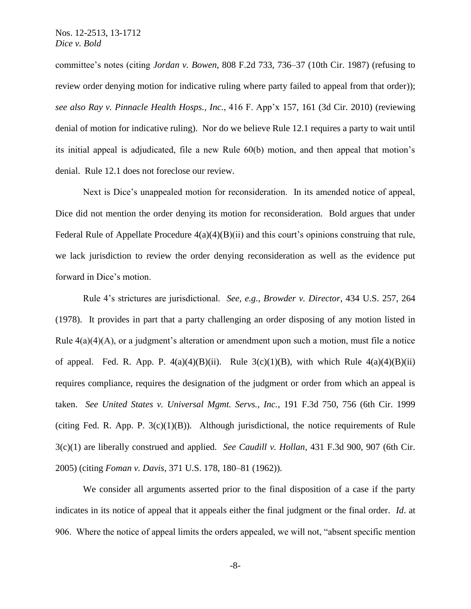committee's notes (citing *Jordan v. Bowen*, 808 F.2d 733, 736–37 (10th Cir. 1987) (refusing to review order denying motion for indicative ruling where party failed to appeal from that order)); *see also Ray v. Pinnacle Health Hosps., Inc.*, 416 F. App'x 157, 161 (3d Cir. 2010) (reviewing denial of motion for indicative ruling). Nor do we believe Rule 12.1 requires a party to wait until its initial appeal is adjudicated, file a new Rule 60(b) motion, and then appeal that motion's denial. Rule 12.1 does not foreclose our review.

Next is Dice's unappealed motion for reconsideration. In its amended notice of appeal, Dice did not mention the order denying its motion for reconsideration. Bold argues that under Federal Rule of Appellate Procedure  $4(a)(4)(B)(ii)$  and this court's opinions construing that rule, we lack jurisdiction to review the order denying reconsideration as well as the evidence put forward in Dice's motion.

Rule 4's strictures are jurisdictional. *See, e.g.*, *Browder v. Director*, 434 U.S. 257, 264 (1978). It provides in part that a party challenging an order disposing of any motion listed in Rule  $4(a)(4)(A)$ , or a judgment's alteration or amendment upon such a motion, must file a notice of appeal. Fed. R. App. P.  $4(a)(4)(B)(ii)$ . Rule  $3(c)(1)(B)$ , with which Rule  $4(a)(4)(B)(ii)$ requires compliance, requires the designation of the judgment or order from which an appeal is taken. *See United States v. Universal Mgmt. Servs., Inc.*, 191 F.3d 750, 756 (6th Cir. 1999 (citing Fed. R. App. P.  $3(c)(1)(B)$ ). Although jurisdictional, the notice requirements of Rule 3(c)(1) are liberally construed and applied. *See Caudill v. Hollan*, 431 F.3d 900, 907 (6th Cir. 2005) (citing *Foman v. Davis*, 371 U.S. 178, 180–81 (1962)).

We consider all arguments asserted prior to the final disposition of a case if the party indicates in its notice of appeal that it appeals either the final judgment or the final order. *Id*. at 906. Where the notice of appeal limits the orders appealed, we will not, "absent specific mention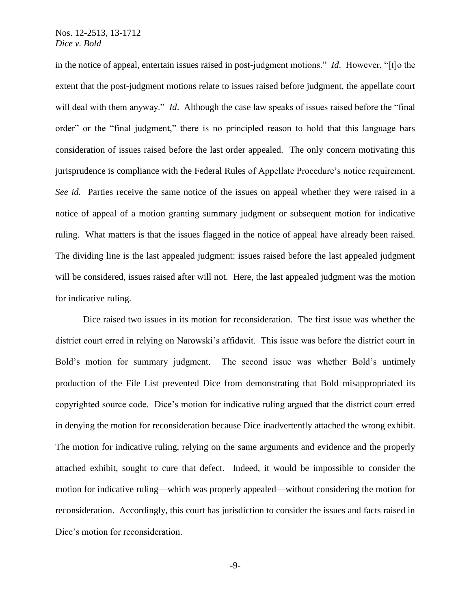in the notice of appeal, entertain issues raised in post-judgment motions." *Id*. However, "[t]o the extent that the post-judgment motions relate to issues raised before judgment, the appellate court will deal with them anyway." *Id.* Although the case law speaks of issues raised before the "final" order" or the "final judgment," there is no principled reason to hold that this language bars consideration of issues raised before the last order appealed. The only concern motivating this jurisprudence is compliance with the Federal Rules of Appellate Procedure's notice requirement. *See id.* Parties receive the same notice of the issues on appeal whether they were raised in a notice of appeal of a motion granting summary judgment or subsequent motion for indicative ruling. What matters is that the issues flagged in the notice of appeal have already been raised. The dividing line is the last appealed judgment: issues raised before the last appealed judgment will be considered, issues raised after will not. Here, the last appealed judgment was the motion for indicative ruling.

Dice raised two issues in its motion for reconsideration. The first issue was whether the district court erred in relying on Narowski's affidavit. This issue was before the district court in Bold's motion for summary judgment. The second issue was whether Bold's untimely production of the File List prevented Dice from demonstrating that Bold misappropriated its copyrighted source code. Dice's motion for indicative ruling argued that the district court erred in denying the motion for reconsideration because Dice inadvertently attached the wrong exhibit. The motion for indicative ruling, relying on the same arguments and evidence and the properly attached exhibit, sought to cure that defect. Indeed, it would be impossible to consider the motion for indicative ruling—which was properly appealed—without considering the motion for reconsideration. Accordingly, this court has jurisdiction to consider the issues and facts raised in Dice's motion for reconsideration.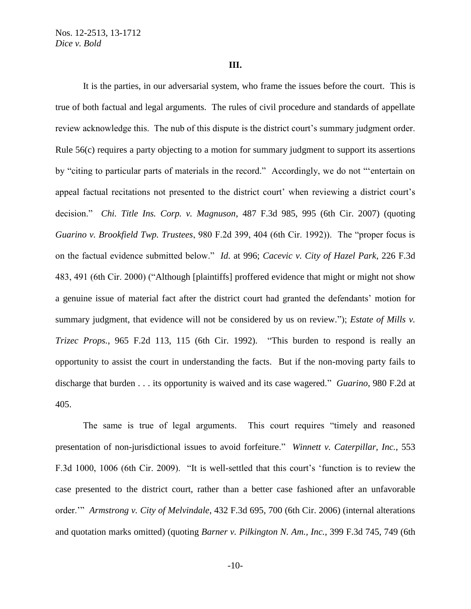#### **III.**

It is the parties, in our adversarial system, who frame the issues before the court. This is true of both factual and legal arguments. The rules of civil procedure and standards of appellate review acknowledge this. The nub of this dispute is the district court's summary judgment order. Rule 56(c) requires a party objecting to a motion for summary judgment to support its assertions by "citing to particular parts of materials in the record." Accordingly, we do not "'entertain on appeal factual recitations not presented to the district court' when reviewing a district court's decision." *Chi. Title Ins. Corp. v. Magnuson*, 487 F.3d 985, 995 (6th Cir. 2007) (quoting *Guarino v. Brookfield Twp. Trustees*, 980 F.2d 399, 404 (6th Cir. 1992)). The "proper focus is on the factual evidence submitted below." *Id*. at 996; *Cacevic v. City of Hazel Park*, 226 F.3d 483, 491 (6th Cir. 2000) ("Although [plaintiffs] proffered evidence that might or might not show a genuine issue of material fact after the district court had granted the defendants' motion for summary judgment, that evidence will not be considered by us on review."); *Estate of Mills v. Trizec Props.*, 965 F.2d 113, 115 (6th Cir. 1992). "This burden to respond is really an opportunity to assist the court in understanding the facts. But if the non-moving party fails to discharge that burden . . . its opportunity is waived and its case wagered." *Guarino*, 980 F.2d at 405.

The same is true of legal arguments. This court requires "timely and reasoned presentation of non-jurisdictional issues to avoid forfeiture." *Winnett v. Caterpillar, Inc.*, 553 F.3d 1000, 1006 (6th Cir. 2009). "It is well-settled that this court's 'function is to review the case presented to the district court, rather than a better case fashioned after an unfavorable order.'" *Armstrong v. City of Melvindale*, 432 F.3d 695, 700 (6th Cir. 2006) (internal alterations and quotation marks omitted) (quoting *Barner v. Pilkington N. Am., Inc.*, 399 F.3d 745, 749 (6th

-10-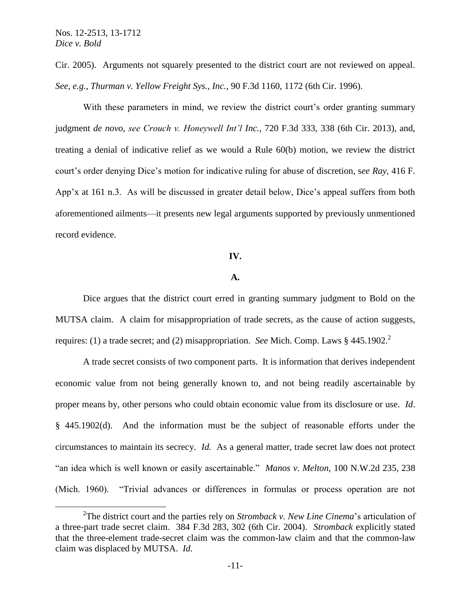Cir. 2005). Arguments not squarely presented to the district court are not reviewed on appeal. *See, e.g.*, *Thurman v. Yellow Freight Sys., Inc.*, 90 F.3d 1160, 1172 (6th Cir. 1996).

With these parameters in mind, we review the district court's order granting summary judgment *de novo*, *see Crouch v. Honeywell Int'l Inc.*, 720 F.3d 333, 338 (6th Cir. 2013), and, treating a denial of indicative relief as we would a Rule 60(b) motion, we review the district court's order denying Dice's motion for indicative ruling for abuse of discretion, s*ee Ray*, 416 F. App'x at 161 n.3. As will be discussed in greater detail below, Dice's appeal suffers from both aforementioned ailments—it presents new legal arguments supported by previously unmentioned record evidence.

## **IV.**

#### **A.**

Dice argues that the district court erred in granting summary judgment to Bold on the MUTSA claim. A claim for misappropriation of trade secrets, as the cause of action suggests, requires: (1) a trade secret; and (2) misappropriation. *See* Mich. Comp. Laws § 445.1902.<sup>2</sup>

A trade secret consists of two component parts. It is information that derives independent economic value from not being generally known to, and not being readily ascertainable by proper means by, other persons who could obtain economic value from its disclosure or use. *Id*. § 445.1902(d). And the information must be the subject of reasonable efforts under the circumstances to maintain its secrecy. *Id.* As a general matter, trade secret law does not protect "an idea which is well known or easily ascertainable." *Manos v. Melton*, 100 N.W.2d 235, 238 (Mich. 1960). "Trivial advances or differences in formulas or process operation are not

<sup>2</sup> The district court and the parties rely on *Stromback v. New Line Cinema*'s articulation of a three-part trade secret claim. 384 F.3d 283, 302 (6th Cir. 2004). *Stromback* explicitly stated that the three-element trade-secret claim was the common-law claim and that the common-law claim was displaced by MUTSA. *Id*.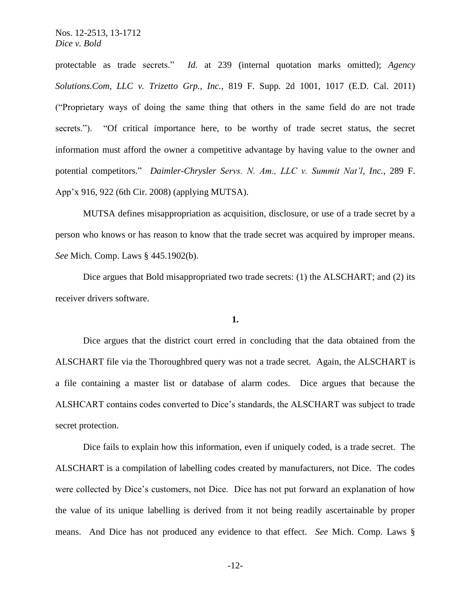protectable as trade secrets." *Id*. at 239 (internal quotation marks omitted); *Agency Solutions.Com, LLC v. Trizetto Grp., Inc.*, 819 F. Supp. 2d 1001, 1017 (E.D. Cal. 2011) ("Proprietary ways of doing the same thing that others in the same field do are not trade secrets."). "Of critical importance here, to be worthy of trade secret status, the secret information must afford the owner a competitive advantage by having value to the owner and potential competitors." *Daimler-Chrysler Servs. N. Am., LLC v. Summit Nat'l, Inc.*, 289 F. App'x 916, 922 (6th Cir. 2008) (applying MUTSA).

MUTSA defines misappropriation as acquisition, disclosure, or use of a trade secret by a person who knows or has reason to know that the trade secret was acquired by improper means. *See* Mich. Comp. Laws § 445.1902(b).

Dice argues that Bold misappropriated two trade secrets: (1) the ALSCHART; and (2) its receiver drivers software.

#### **1.**

Dice argues that the district court erred in concluding that the data obtained from the ALSCHART file via the Thoroughbred query was not a trade secret. Again, the ALSCHART is a file containing a master list or database of alarm codes. Dice argues that because the ALSHCART contains codes converted to Dice's standards, the ALSCHART was subject to trade secret protection.

Dice fails to explain how this information, even if uniquely coded, is a trade secret. The ALSCHART is a compilation of labelling codes created by manufacturers, not Dice. The codes were collected by Dice's customers, not Dice. Dice has not put forward an explanation of how the value of its unique labelling is derived from it not being readily ascertainable by proper means. And Dice has not produced any evidence to that effect. *See* Mich. Comp. Laws §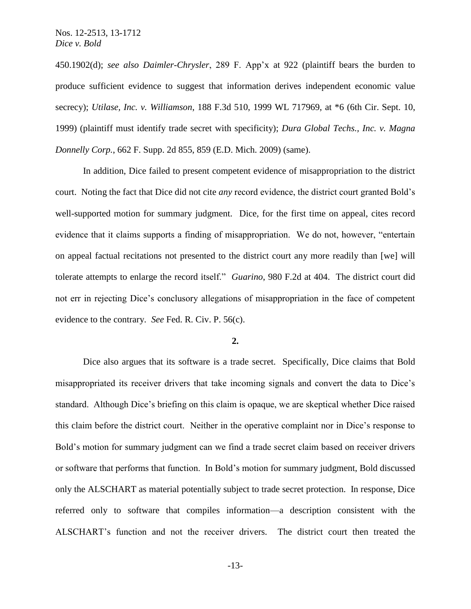450.1902(d); *see also Daimler-Chrysler*, 289 F. App'x at 922 (plaintiff bears the burden to produce sufficient evidence to suggest that information derives independent economic value secrecy); *Utilase, Inc. v. Williamson*, 188 F.3d 510, 1999 WL 717969, at \*6 (6th Cir. Sept. 10, 1999) (plaintiff must identify trade secret with specificity); *Dura Global Techs., Inc. v. Magna Donnelly Corp.*, 662 F. Supp. 2d 855, 859 (E.D. Mich. 2009) (same).

In addition, Dice failed to present competent evidence of misappropriation to the district court. Noting the fact that Dice did not cite *any* record evidence, the district court granted Bold's well-supported motion for summary judgment. Dice, for the first time on appeal, cites record evidence that it claims supports a finding of misappropriation. We do not, however, "entertain on appeal factual recitations not presented to the district court any more readily than [we] will tolerate attempts to enlarge the record itself." *Guarino*, 980 F.2d at 404. The district court did not err in rejecting Dice's conclusory allegations of misappropriation in the face of competent evidence to the contrary. *See* Fed. R. Civ. P. 56(c).

### **2.**

Dice also argues that its software is a trade secret. Specifically, Dice claims that Bold misappropriated its receiver drivers that take incoming signals and convert the data to Dice's standard. Although Dice's briefing on this claim is opaque, we are skeptical whether Dice raised this claim before the district court. Neither in the operative complaint nor in Dice's response to Bold's motion for summary judgment can we find a trade secret claim based on receiver drivers or software that performs that function. In Bold's motion for summary judgment, Bold discussed only the ALSCHART as material potentially subject to trade secret protection. In response, Dice referred only to software that compiles information—a description consistent with the ALSCHART's function and not the receiver drivers. The district court then treated the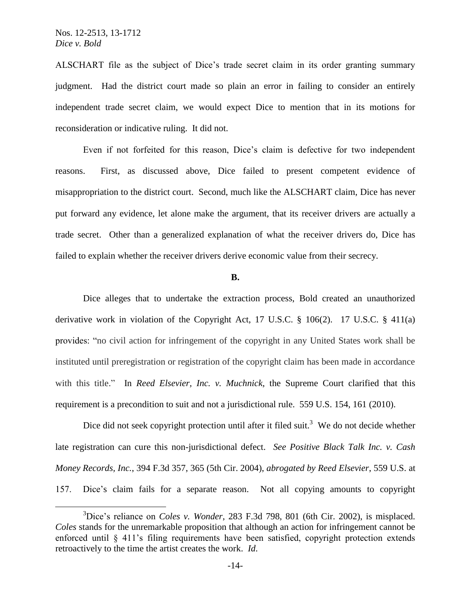ALSCHART file as the subject of Dice's trade secret claim in its order granting summary judgment. Had the district court made so plain an error in failing to consider an entirely independent trade secret claim, we would expect Dice to mention that in its motions for reconsideration or indicative ruling. It did not.

Even if not forfeited for this reason, Dice's claim is defective for two independent reasons. First, as discussed above, Dice failed to present competent evidence of misappropriation to the district court. Second, much like the ALSCHART claim, Dice has never put forward any evidence, let alone make the argument, that its receiver drivers are actually a trade secret. Other than a generalized explanation of what the receiver drivers do, Dice has failed to explain whether the receiver drivers derive economic value from their secrecy.

#### **B.**

Dice alleges that to undertake the extraction process, Bold created an unauthorized derivative work in violation of the Copyright Act, 17 U.S.C. § 106(2). 17 U.S.C. § 411(a) provides: "no civil action for infringement of the copyright in any United States work shall be instituted until preregistration or registration of the copyright claim has been made in accordance with this title." In *Reed Elsevier, Inc. v. Muchnick*, the Supreme Court clarified that this requirement is a precondition to suit and not a jurisdictional rule. 559 U.S. 154, 161 (2010).

Dice did not seek copyright protection until after it filed suit.<sup>3</sup> We do not decide whether late registration can cure this non-jurisdictional defect. *See Positive Black Talk Inc. v. Cash Money Records, Inc.*, 394 F.3d 357, 365 (5th Cir. 2004), *abrogated by Reed Elsevier*, 559 U.S. at 157. Dice's claim fails for a separate reason. Not all copying amounts to copyright

<sup>3</sup>Dice's reliance on *Coles v. Wonder*, 283 F.3d 798, 801 (6th Cir. 2002), is misplaced. *Coles* stands for the unremarkable proposition that although an action for infringement cannot be enforced until § 411's filing requirements have been satisfied, copyright protection extends retroactively to the time the artist creates the work. *Id*.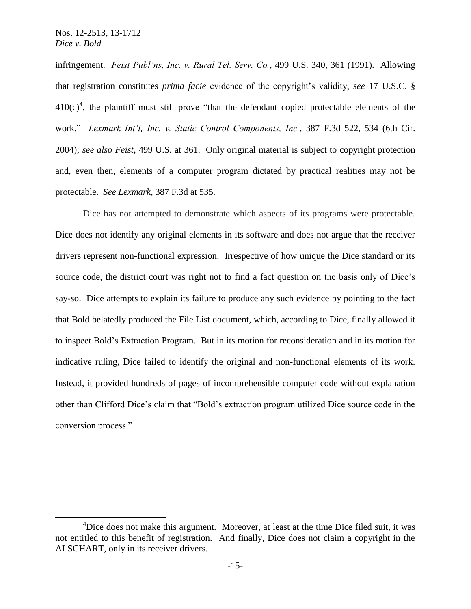infringement. *Feist Publ'ns, Inc. v. Rural Tel. Serv. Co.*, 499 U.S. 340, 361 (1991). Allowing that registration constitutes *prima facie* evidence of the copyright's validity, *see* 17 U.S.C. §  $410(c)<sup>4</sup>$ , the plaintiff must still prove "that the defendant copied protectable elements of the work." *Lexmark Int'l, Inc. v. Static Control Components, Inc.*, 387 F.3d 522, 534 (6th Cir. 2004); *see also Feist*, 499 U.S. at 361. Only original material is subject to copyright protection and, even then, elements of a computer program dictated by practical realities may not be protectable. *See Lexmark*, 387 F.3d at 535.

Dice has not attempted to demonstrate which aspects of its programs were protectable. Dice does not identify any original elements in its software and does not argue that the receiver drivers represent non-functional expression. Irrespective of how unique the Dice standard or its source code, the district court was right not to find a fact question on the basis only of Dice's say-so. Dice attempts to explain its failure to produce any such evidence by pointing to the fact that Bold belatedly produced the File List document, which, according to Dice, finally allowed it to inspect Bold's Extraction Program. But in its motion for reconsideration and in its motion for indicative ruling, Dice failed to identify the original and non-functional elements of its work. Instead, it provided hundreds of pages of incomprehensible computer code without explanation other than Clifford Dice's claim that "Bold's extraction program utilized Dice source code in the conversion process."

<sup>&</sup>lt;sup>4</sup>Dice does not make this argument. Moreover, at least at the time Dice filed suit, it was not entitled to this benefit of registration. And finally, Dice does not claim a copyright in the ALSCHART, only in its receiver drivers.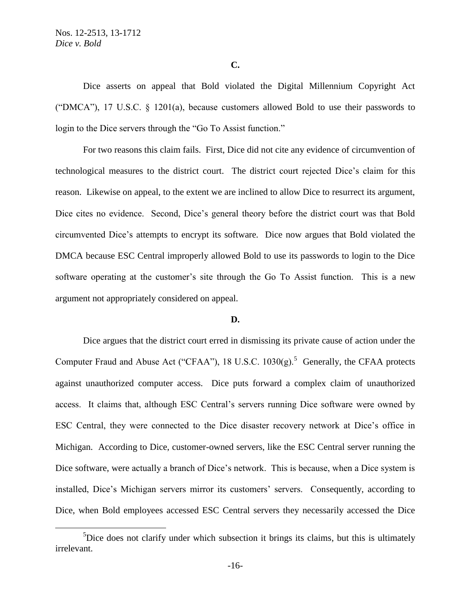## **C.**

Dice asserts on appeal that Bold violated the Digital Millennium Copyright Act ("DMCA"), 17 U.S.C. § 1201(a), because customers allowed Bold to use their passwords to login to the Dice servers through the "Go To Assist function."

For two reasons this claim fails. First, Dice did not cite any evidence of circumvention of technological measures to the district court. The district court rejected Dice's claim for this reason. Likewise on appeal, to the extent we are inclined to allow Dice to resurrect its argument, Dice cites no evidence. Second, Dice's general theory before the district court was that Bold circumvented Dice's attempts to encrypt its software. Dice now argues that Bold violated the DMCA because ESC Central improperly allowed Bold to use its passwords to login to the Dice software operating at the customer's site through the Go To Assist function. This is a new argument not appropriately considered on appeal.

#### **D.**

Dice argues that the district court erred in dismissing its private cause of action under the Computer Fraud and Abuse Act ("CFAA"), 18 U.S.C.  $1030(g)$ .<sup>5</sup> Generally, the CFAA protects against unauthorized computer access. Dice puts forward a complex claim of unauthorized access. It claims that, although ESC Central's servers running Dice software were owned by ESC Central, they were connected to the Dice disaster recovery network at Dice's office in Michigan. According to Dice, customer-owned servers, like the ESC Central server running the Dice software, were actually a branch of Dice's network. This is because, when a Dice system is installed, Dice's Michigan servers mirror its customers' servers. Consequently, according to Dice, when Bold employees accessed ESC Central servers they necessarily accessed the Dice

<sup>&</sup>lt;sup>5</sup>Dice does not clarify under which subsection it brings its claims, but this is ultimately irrelevant.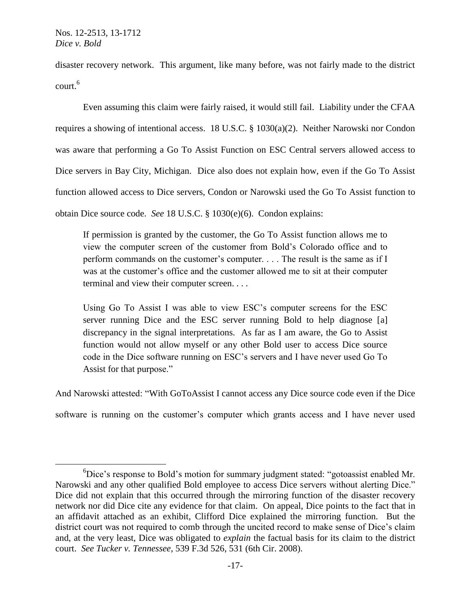$\overline{a}$ 

disaster recovery network. This argument, like many before, was not fairly made to the district court. 6

Even assuming this claim were fairly raised, it would still fail. Liability under the CFAA requires a showing of intentional access. 18 U.S.C. § 1030(a)(2). Neither Narowski nor Condon was aware that performing a Go To Assist Function on ESC Central servers allowed access to Dice servers in Bay City, Michigan. Dice also does not explain how, even if the Go To Assist function allowed access to Dice servers, Condon or Narowski used the Go To Assist function to obtain Dice source code. *See* 18 U.S.C. § 1030(e)(6). Condon explains:

If permission is granted by the customer, the Go To Assist function allows me to view the computer screen of the customer from Bold's Colorado office and to perform commands on the customer's computer. . . . The result is the same as if I was at the customer's office and the customer allowed me to sit at their computer terminal and view their computer screen. . . .

Using Go To Assist I was able to view ESC's computer screens for the ESC server running Dice and the ESC server running Bold to help diagnose [a] discrepancy in the signal interpretations. As far as I am aware, the Go to Assist function would not allow myself or any other Bold user to access Dice source code in the Dice software running on ESC's servers and I have never used Go To Assist for that purpose."

And Narowski attested: "With GoToAssist I cannot access any Dice source code even if the Dice

software is running on the customer's computer which grants access and I have never used

 ${}^{6}$ Dice's response to Bold's motion for summary judgment stated: "gotoassist enabled Mr. Narowski and any other qualified Bold employee to access Dice servers without alerting Dice." Dice did not explain that this occurred through the mirroring function of the disaster recovery network nor did Dice cite any evidence for that claim. On appeal, Dice points to the fact that in an affidavit attached as an exhibit, Clifford Dice explained the mirroring function. But the district court was not required to comb through the uncited record to make sense of Dice's claim and, at the very least, Dice was obligated to *explain* the factual basis for its claim to the district court. *See Tucker v. Tennessee*, 539 F.3d 526, 531 (6th Cir. 2008).